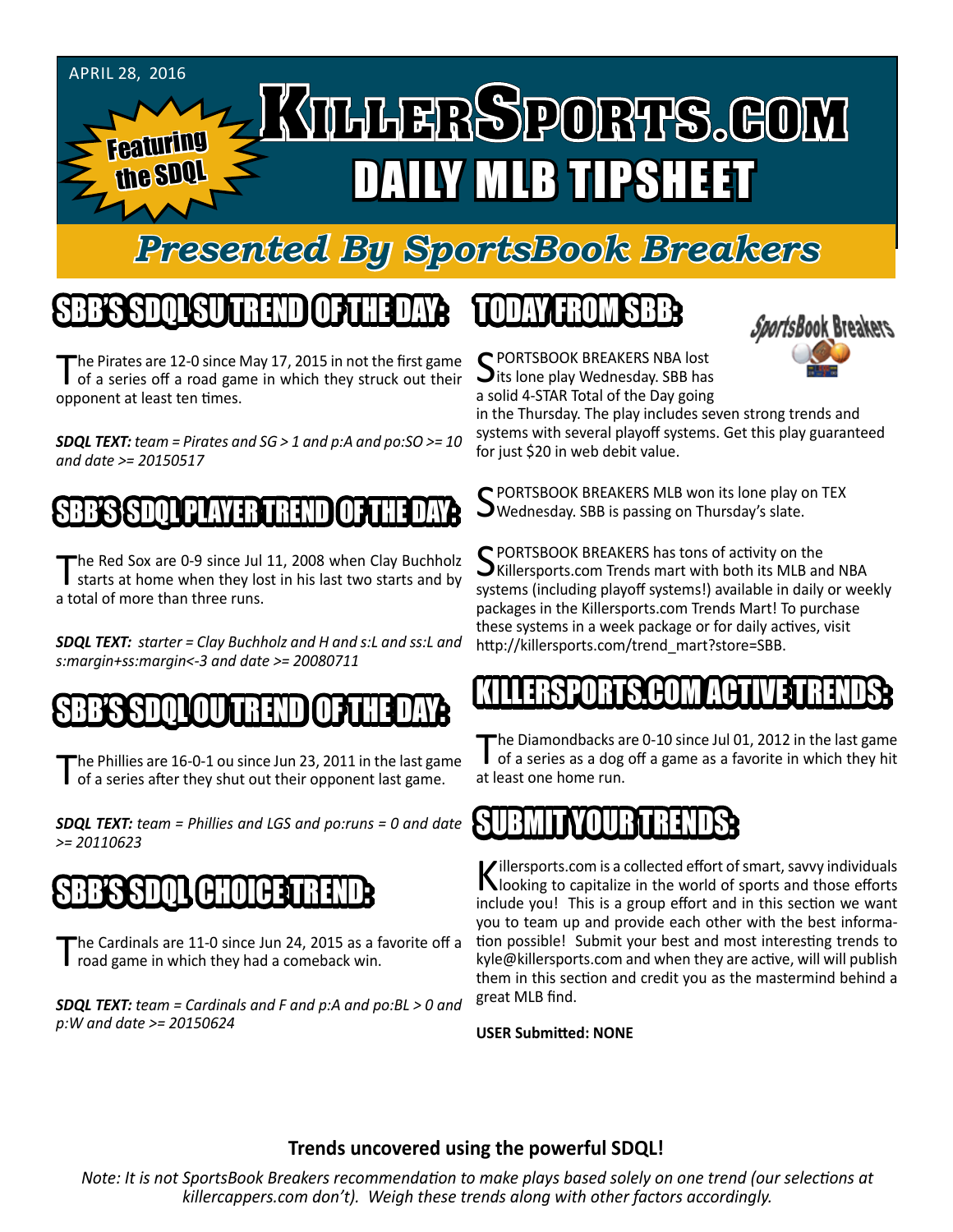

# *Presented By SportsBook Breakers*

# SBB'S SDQL SU TREND OF THE DAY:

The Pirates are 12-0 since May 17, 2015 in not the first game<br>of a series off a road game in which they struck out their opponent at least ten times.

*SDQL TEXT: team = Pirates and SG > 1 and p:A and po:SO >= 10 and date >= 20150517*

### SBB'S SSPOLD LET LAYER TREND

The Red Sox are 0-9 since Jul 11, 2008 when Clay Buchholz<br>starts at home when they lost in his last two starts and by a total of more than three runs.

*SDQL TEXT: starter = Clay Buchholz and H and s:L and ss:L and s:margin+ss:margin<-3 and date >= 20080711*

#### SBB'S SDQLOU TREND OF THE DAY:

The Phillies are 16-0-1 ou since Jun 23, 2011 in the last game<br>of a series after they shut out their opponent last game.

*SDQL TEXT: team = Phillies and LGS and po:runs = 0 and date >= 20110623*

#### SBB'S SDQL CHOICE TREND

The Cardinals are 11-0 since Jun 24, 2015 as a favorite off a road game in which they had a comeback win.

*SDQL TEXT: team = Cardinals and F and p:A and po:BL > 0 and p:W and date >= 20150624*

# TODAY HAOMSBB



in the Thursday. The play includes seven strong trends and systems with several playoff systems. Get this play guaranteed for just \$20 in web debit value.

*SportsBook Breakers* 

S PORTSBOOK BREAKERS MLB won its lone play on TEX<br>S Wednesday. SBB is passing on Thursday's slate.

SPORTSBOOK BREAKERS has tons of activity on the<br>SKillersports.com Trends mart with both its MLB and NBA systems (including playoff systems!) available in daily or weekly packages in the Killersports.com Trends Mart! To purchase these systems in a week package or for daily actives, visit http://killersports.com/trend\_mart?store=SBB.

## KILLERSPORTS.COM ACTIVE TRENDS:

The Diamondbacks are 0-10 since Jul 01, 2012 in the last game<br>of a series as a dog off a game as a favorite in which they hit at least one home run.

#### SUBMITYOUR TRENDS:

Killersports.com is a collected effort of smart, savvy individuals<br>Nooking to capitalize in the world of sports and those efforts include you! This is a group effort and in this section we want you to team up and provide each other with the best information possible! Submit your best and most interesting trends to kyle@killersports.com and when they are active, will will publish them in this section and credit you as the mastermind behind a great MLB find.

**USER Submitted: NONE**

#### **Trends uncovered using the powerful SDQL!**

*Note: It is not SportsBook Breakers recommendation to make plays based solely on one trend (our selections at killercappers.com don't). Weigh these trends along with other factors accordingly.*